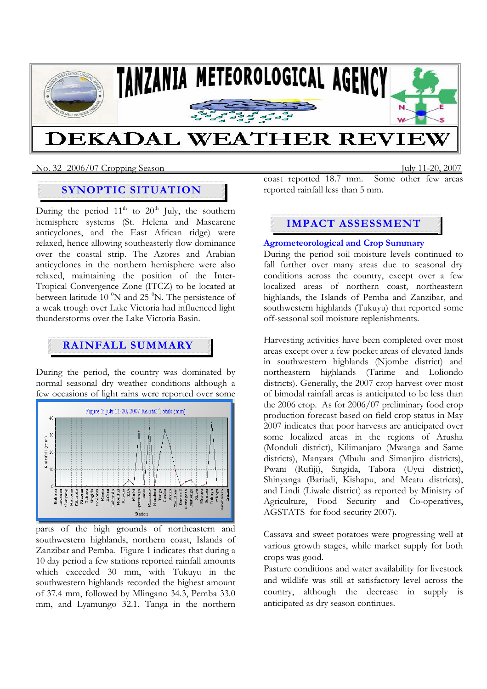

# **DEKADAL WEATHER REVI**

No. 32 2006/07 Cropping SeasonJuly 11-20, 2007

# **SYNOPTIC SITUATION**

During the period  $11<sup>th</sup>$  to  $20<sup>th</sup>$  July, the southern hemisphere systems (St. Helena and Mascarene anticyclones, and the East African ridge) were relaxed, hence allowing southeasterly flow dominance over the coastal strip. The Azores and Arabian anticyclones in the northern hemisphere were also relaxed, maintaining the position of the Inter-Tropical Convergence Zone (ITCZ) to be located at between latitude  $10\,^{\circ}N$  and  $25\,^{\circ}N$ . The persistence of a weak trough over Lake Victoria had influenced light thunderstorms over the Lake Victoria Basin.

# **RAINFALL SUMMARY**

During the period, the country was dominated by normal seasonal dry weather conditions although a few occasions of light rains were reported over some



parts of the high grounds of northeastern and southwestern highlands, northern coast, Islands of Zanzibar and Pemba. Figure 1 indicates that during a 10 day period a few stations reported rainfall amounts which exceeded 30 mm, with Tukuyu in the southwestern highlands recorded the highest amount of 37.4 mm, followed by Mlingano 34.3, Pemba 33.0 mm, and Lyamungo 32.1. Tanga in the northern

coast reported 18.7 mm. Some other few areas reported rainfall less than 5 mm.

# **IMPACT ASSESSMENT**

## **Agrometeorological and Crop Summary**

During the period soil moisture levels continued to fall further over many areas due to seasonal dry conditions across the country, except over a few localized areas of northern coast, northeastern highlands, the Islands of Pemba and Zanzibar, and southwestern highlands (Tukuyu) that reported some off-seasonal soil moisture replenishments.

Harvesting activities have been completed over most areas except over a few pocket areas of elevated lands in southwestern highlands (Njombe district) and northeastern highlands (Tarime and Loliondo districts). Generally, the 2007 crop harvest over most of bimodal rainfall areas is anticipated to be less than the 2006 crop. As for 2006/07 preliminary food crop production forecast based on field crop status in May 2007 indicates that poor harvests are anticipated over some localized areas in the regions of Arusha (Monduli district), Kilimanjaro (Mwanga and Same districts), Manyara (Mbulu and Simanjiro districts), Pwani (Rufiji), Singida, Tabora (Uyui district), Shinyanga (Bariadi, Kishapu, and Meatu districts), and Lindi (Liwale district) as reported by Ministry of Agriculture, Food Security and Co-operatives, AGSTATS for food security 2007).

Cassava and sweet potatoes were progressing well at various growth stages, while market supply for both crops was good.

Pasture conditions and water availability for livestock and wildlife was still at satisfactory level across the country, although the decrease in supply is anticipated as dry season continues.